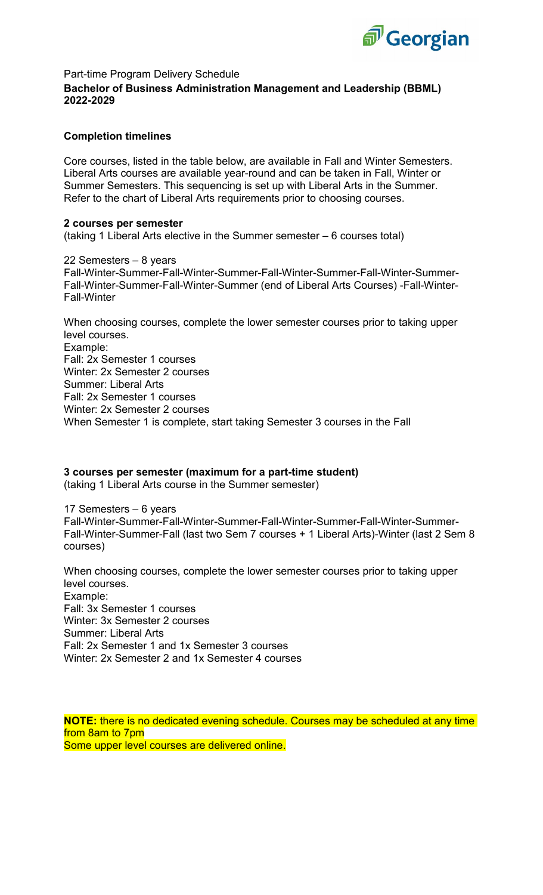

# Part-time Program Delivery Schedule **Bachelor of Business Administration Management and Leadership (BBML) 2022-2029**

### **Completion timelines**

Core courses, listed in the table below, are available in Fall and Winter Semesters. Liberal Arts courses are available year-round and can be taken in Fall, Winter or Summer Semesters. This sequencing is set up with Liberal Arts in the Summer. Refer to the chart of Liberal Arts requirements prior to choosing courses.

#### **2 courses per semester**

(taking 1 Liberal Arts elective in the Summer semester – 6 courses total)

22 Semesters – 8 years Fall-Winter-Summer-Fall-Winter-Summer-Fall-Winter-Summer-Fall-Winter-Summer-Fall-Winter-Summer-Fall-Winter-Summer (end of Liberal Arts Courses) -Fall-Winter-Fall-Winter

When choosing courses, complete the lower semester courses prior to taking upper level courses. Example: Fall: 2x Semester 1 courses Winter: 2x Semester 2 courses Summer: Liberal Arts Fall: 2x Semester 1 courses Winter: 2x Semester 2 courses When Semester 1 is complete, start taking Semester 3 courses in the Fall

**3 courses per semester (maximum for a part-time student)** (taking 1 Liberal Arts course in the Summer semester)

17 Semesters – 6 years Fall-Winter-Summer-Fall-Winter-Summer-Fall-Winter-Summer-Fall-Winter-Summer-Fall-Winter-Summer-Fall (last two Sem 7 courses + 1 Liberal Arts)-Winter (last 2 Sem 8 courses)

When choosing courses, complete the lower semester courses prior to taking upper level courses. Example: Fall: 3x Semester 1 courses Winter: 3x Semester 2 courses Summer: Liberal Arts Fall: 2x Semester 1 and 1x Semester 3 courses Winter: 2x Semester 2 and 1x Semester 4 courses

**NOTE:** there is no dedicated evening schedule. Courses may be scheduled at any time from 8am to 7pm Some upper level courses are delivered online.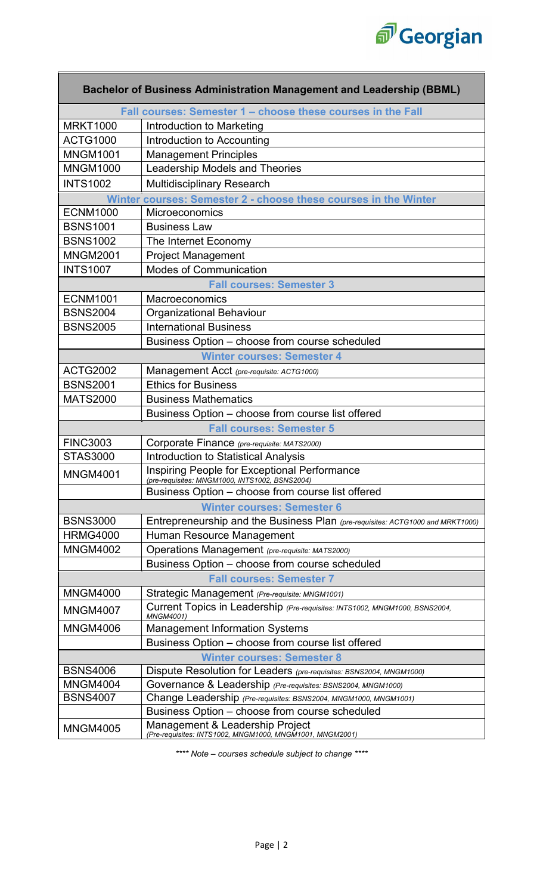

ī

| <b>Bachelor of Business Administration Management and Leadership (BBML)</b> |                                                                                                       |  |
|-----------------------------------------------------------------------------|-------------------------------------------------------------------------------------------------------|--|
| Fall courses: Semester 1 – choose these courses in the Fall                 |                                                                                                       |  |
| <b>MRKT1000</b>                                                             | Introduction to Marketing                                                                             |  |
| <b>ACTG1000</b>                                                             | Introduction to Accounting                                                                            |  |
| <b>MNGM1001</b>                                                             | <b>Management Principles</b>                                                                          |  |
| <b>MNGM1000</b>                                                             | Leadership Models and Theories                                                                        |  |
| <b>INTS1002</b>                                                             | <b>Multidisciplinary Research</b>                                                                     |  |
| Winter courses: Semester 2 - choose these courses in the Winter             |                                                                                                       |  |
| <b>ECNM1000</b>                                                             | Microeconomics                                                                                        |  |
| <b>BSNS1001</b>                                                             | <b>Business Law</b>                                                                                   |  |
| <b>BSNS1002</b>                                                             | The Internet Economy                                                                                  |  |
| <b>MNGM2001</b>                                                             | <b>Project Management</b>                                                                             |  |
| <b>INTS1007</b>                                                             | <b>Modes of Communication</b>                                                                         |  |
|                                                                             | <b>Fall courses: Semester 3</b>                                                                       |  |
| <b>ECNM1001</b>                                                             | <b>Macroeconomics</b>                                                                                 |  |
| <b>BSNS2004</b>                                                             | Organizational Behaviour                                                                              |  |
| <b>BSNS2005</b>                                                             | <b>International Business</b>                                                                         |  |
|                                                                             | Business Option - choose from course scheduled                                                        |  |
|                                                                             | <b>Winter courses: Semester 4</b>                                                                     |  |
| <b>ACTG2002</b>                                                             | Management Acct (pre-requisite: ACTG1000)                                                             |  |
| <b>BSNS2001</b>                                                             | <b>Ethics for Business</b>                                                                            |  |
| <b>MATS2000</b>                                                             | <b>Business Mathematics</b>                                                                           |  |
|                                                                             | Business Option - choose from course list offered                                                     |  |
| <b>Fall courses: Semester 5</b>                                             |                                                                                                       |  |
| <b>FINC3003</b>                                                             | Corporate Finance (pre-requisite: MATS2000)                                                           |  |
| <b>STAS3000</b>                                                             | <b>Introduction to Statistical Analysis</b>                                                           |  |
| <b>MNGM4001</b>                                                             | <b>Inspiring People for Exceptional Performance</b><br>(pre-requisites: MNGM1000, INTS1002, BSNS2004) |  |
|                                                                             | Business Option - choose from course list offered                                                     |  |
|                                                                             | <b>Winter courses: Semester 6</b>                                                                     |  |
| <b>BSNS3000</b>                                                             | Entrepreneurship and the Business Plan (pre-requisites: ACTG1000 and MRKT1000)                        |  |
| <b>HRMG4000</b>                                                             | Human Resource Management                                                                             |  |
| <b>MNGM4002</b>                                                             | Operations Management (pre-requisite: MATS2000)                                                       |  |
|                                                                             | Business Option - choose from course scheduled                                                        |  |
|                                                                             | <b>Fall courses: Semester 7</b>                                                                       |  |
| <b>MNGM4000</b>                                                             | Strategic Management (Pre-requisite: MNGM1001)                                                        |  |
| <b>MNGM4007</b>                                                             | Current Topics in Leadership (Pre-requisites: INTS1002, MNGM1000, BSNS2004,<br><b>MNGM4001</b>        |  |
| <b>MNGM4006</b>                                                             | <b>Management Information Systems</b>                                                                 |  |
|                                                                             | Business Option - choose from course list offered                                                     |  |
| <b>Winter courses: Semester 8</b>                                           |                                                                                                       |  |
| <b>BSNS4006</b>                                                             | Dispute Resolution for Leaders (pre-requisites: BSNS2004, MNGM1000)                                   |  |
| <b>MNGM4004</b>                                                             | Governance & Leadership (Pre-requisites: BSNS2004, MNGM1000)                                          |  |
| <b>BSNS4007</b>                                                             | Change Leadership (Pre-requisites: BSNS2004, MNGM1000, MNGM1001)                                      |  |
|                                                                             | Business Option - choose from course scheduled                                                        |  |
| <b>MNGM4005</b>                                                             | Management & Leadership Project<br>(Pre-requisites: INTS1002, MNGM1000, MNGM1001, MNGM2001)           |  |

 $\mathsf{r}$ 

*\*\*\*\* Note – courses schedule subject to change \*\*\*\**